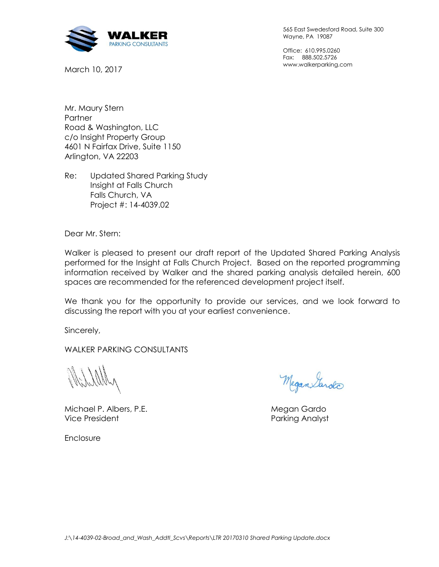

March 10, 2017

565 East Swedesford Road, Suite 300 Wayne, PA 19087

Office: 610.995.0260 Fax: 888.502.5726 www.walkerparking.com

Mr. Maury Stern **Partner** Road & Washington, LLC c/o Insight Property Group 4601 N Fairfax Drive, Suite 1150 Arlington, VA 22203

Re: Updated Shared Parking Study Insight at Falls Church Falls Church, VA Project #: 14-4039.02

Dear Mr. Stern:

Walker is pleased to present our draft report of the Updated Shared Parking Analysis performed for the Insight at Falls Church Project. Based on the reported programming information received by Walker and the shared parking analysis detailed herein, 600 spaces are recommended for the referenced development project itself.

We thank you for the opportunity to provide our services, and we look forward to discussing the report with you at your earliest convenience.

Sincerely,

WALKER PARKING CONSULTANTS

Michael P. Albers, P.E. **Michael P. Albers, P.E.** Megan Gardo Vice President **Parking Analyst** Parking Analyst

Megan Sarda

Enclosure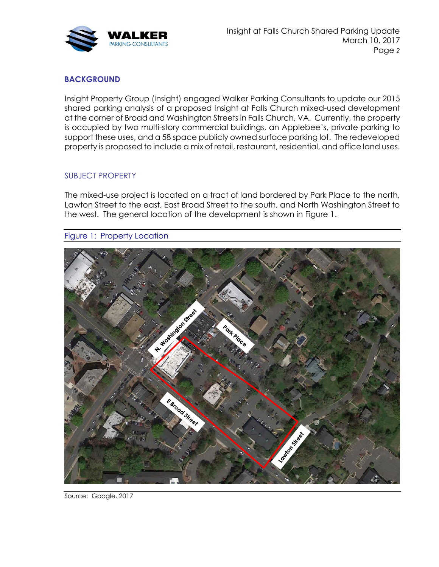

# **BACKGROUND**

Insight Property Group (Insight) engaged Walker Parking Consultants to update our 2015 shared parking analysis of a proposed Insight at Falls Church mixed-used development at the corner of Broad and Washington Streets in Falls Church, VA. Currently, the property is occupied by two multi-story commercial buildings, an Applebee's, private parking to support these uses, and a 58 space publicly owned surface parking lot. The redeveloped property is proposed to include a mix of retail, restaurant, residential, and office land uses.

## SUBJECT PROPERTY

The mixed-use project is located on a tract of land bordered by Park Place to the north, Lawton Street to the east, East Broad Street to the south, and North Washington Street to the west. The general location of the development is shown in Figure 1.

Figure 1: Property Location



Source: Google, 2017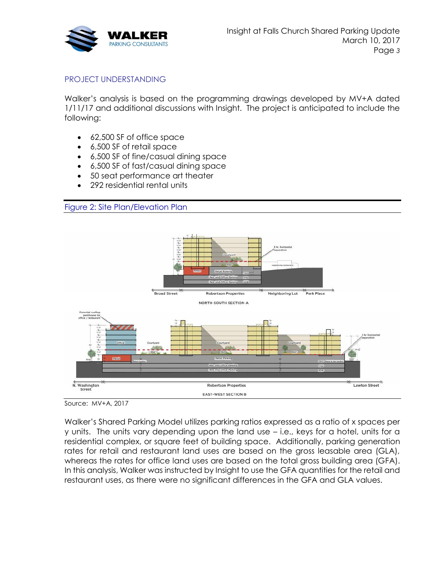

# PROJECT UNDERSTANDING

Walker's analysis is based on the programming drawings developed by MV+A dated 1/11/17 and additional discussions with Insight. The project is anticipated to include the following:

- 62,500 SF of office space
- 6,500 SF of retail space
- 6,500 SF of fine/casual dining space
- 6,500 SF of fast/casual dining space
- 50 seat performance art theater
- 292 residential rental units

# Figure 2: Site Plan/Elevation Plan



Source: MV+A, 2017

Walker's Shared Parking Model utilizes parking ratios expressed as a ratio of x spaces per y units. The units vary depending upon the land use – i.e., keys for a hotel, units for a residential complex, or square feet of building space. Additionally, parking generation rates for retail and restaurant land uses are based on the gross leasable area (GLA), whereas the rates for office land uses are based on the total gross building area (GFA). In this analysis, Walker was instructed by Insight to use the GFA quantities for the retail and restaurant uses, as there were no significant differences in the GFA and GLA values.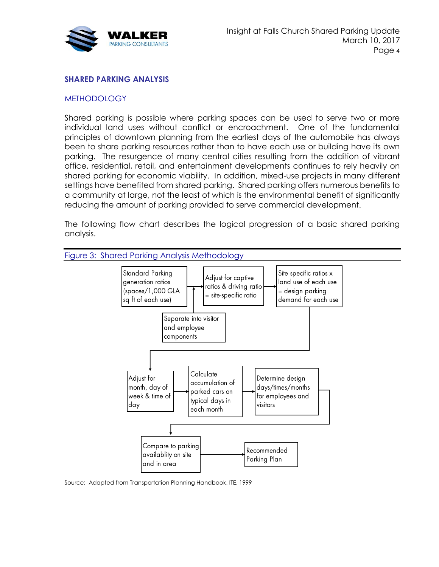

# **SHARED PARKING ANALYSIS**

### **METHODOLOGY**

Shared parking is possible where parking spaces can be used to serve two or more individual land uses without conflict or encroachment. One of the fundamental principles of downtown planning from the earliest days of the automobile has always been to share parking resources rather than to have each use or building have its own parking. The resurgence of many central cities resulting from the addition of vibrant office, residential, retail, and entertainment developments continues to rely heavily on shared parking for economic viability. In addition, mixed-use projects in many different settings have benefited from shared parking. Shared parking offers numerous benefits to a community at large, not the least of which is the environmental benefit of significantly reducing the amount of parking provided to serve commercial development.

The following flow chart describes the logical progression of a basic shared parking analysis.



Source: Adapted from Transportation Planning Handbook, ITE, 1999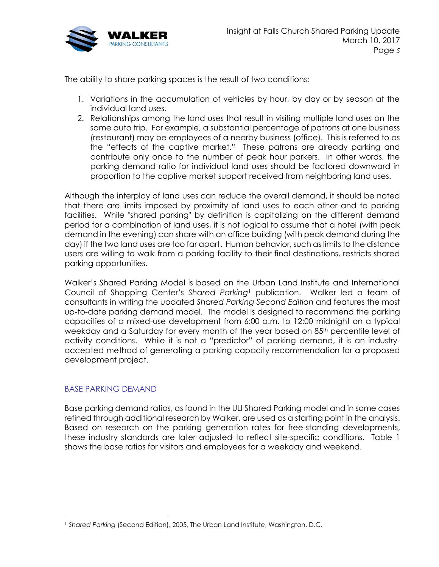

The ability to share parking spaces is the result of two conditions:

- 1. Variations in the accumulation of vehicles by hour, by day or by season at the individual land uses.
- 2. Relationships among the land uses that result in visiting multiple land uses on the same auto trip. For example, a substantial percentage of patrons at one business (restaurant) may be employees of a nearby business (office). This is referred to as the "effects of the captive market." These patrons are already parking and contribute only once to the number of peak hour parkers. In other words, the parking demand ratio for individual land uses should be factored downward in proportion to the captive market support received from neighboring land uses.

Although the interplay of land uses can reduce the overall demand, it should be noted that there are limits imposed by proximity of land uses to each other and to parking facilities. While "shared parking" by definition is capitalizing on the different demand period for a combination of land uses, it is not logical to assume that a hotel (with peak demand in the evening) can share with an office building (with peak demand during the day) if the two land uses are too far apart. Human behavior, such as limits to the distance users are willing to walk from a parking facility to their final destinations, restricts shared parking opportunities.

Walker's Shared Parking Model is based on the Urban Land Institute and International Council of Shopping Center's *Shared Parking*<sup>1</sup> publication. Walker led a team of consultants in writing the updated *Shared Parking Second Edition* and features the most up-to-date parking demand model. The model is designed to recommend the parking capacities of a mixed-use development from 6:00 a.m. to 12:00 midnight on a typical weekday and a Saturday for every month of the year based on 85<sup>th</sup> percentile level of activity conditions. While it is not a "predictor" of parking demand, it is an industryaccepted method of generating a parking capacity recommendation for a proposed development project.

## BASE PARKING DEMAND

Base parking demand ratios, as found in the ULI Shared Parking model and in some cases refined through additional research by Walker, are used as a starting point in the analysis. Based on research on the parking generation rates for free-standing developments, these industry standards are later adjusted to reflect site-specific conditions. [Table 1](#page-5-0) shows the base ratios for visitors and employees for a weekday and weekend.

<sup>1</sup> *Shared Parking* (Second Edition), 2005, The Urban Land Institute, Washington, D.C.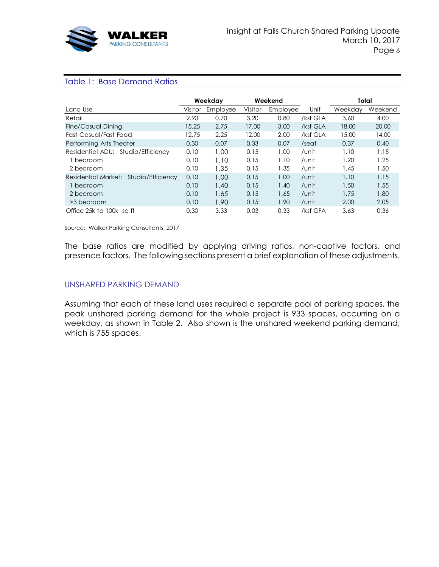

#### <span id="page-5-0"></span>Table 1: Base Demand Ratios

|                                       | Weekday |          | Weekend |          |          | Total   |         |
|---------------------------------------|---------|----------|---------|----------|----------|---------|---------|
| Land Use                              | Visitor | Employee | Visitor | Employee | Unit     | Weekdav | Weekend |
| Retail                                | 2.90    | 0.70     | 3.20    | 0.80     | /ksf GLA | 3.60    | 4.00    |
| Fine/Casual Dining                    | 15.25   | 2.75     | 17.00   | 3.00     | /ksf GLA | 18.00   | 20.00   |
| Fast Casual/Fast Food                 | 12.75   | 2.25     | 12.00   | 2.00     | /ksf GLA | 15.00   | 14.00   |
| Performing Arts Theater               | 0.30    | 0.07     | 0.33    | 0.07     | /seat    | 0.37    | 0.40    |
| Residential ADU: Studio/Efficiency    | 0.10    | 1.00     | 0.15    | 1.00     | /unit    | 1.10    | 1.15    |
| bedroom                               | 0.10    | 1.10     | 0.15    | 1.10     | /unit    | 1.20    | 1.25    |
| 2 bedroom                             | 0.10    | 1.35     | 0.15    | 1.35     | /unit    | 1.45    | 1.50    |
| Residential Market: Studio/Efficiency | 0.10    | 1.00     | 0.15    | 1.00     | /unit    | 1.10    | 1.15    |
| 1 bedroom                             | 0.10    | 1.40     | 0.15    | 1.40     | /unit    | 1.50    | 1.55    |
| 2 bedroom                             | 0.10    | 1.65     | 0.15    | 1.65     | /unit    | 1.75    | 1.80    |
| >3 bedroom                            | 0.10    | 1.90     | 0.15    | 1.90     | /unit    | 2.00    | 2.05    |
| Office 25k to 100k sq ft              | 0.30    | 3.33     | 0.03    | 0.33     | /ksf GFA | 3.63    | 0.36    |

Source: Walker Parking Consultants, 2017

The base ratios are modified by applying driving ratios, non-captive factors, and presence factors. The following sections present a brief explanation of these adjustments.

#### UNSHARED PARKING DEMAND

Assuming that each of these land uses required a separate pool of parking spaces, the peak unshared parking demand for the whole project is 933 spaces, occurring on a weekday, as shown in [Table 2.](#page-6-0) Also shown is the unshared weekend parking demand, which is 755 spaces.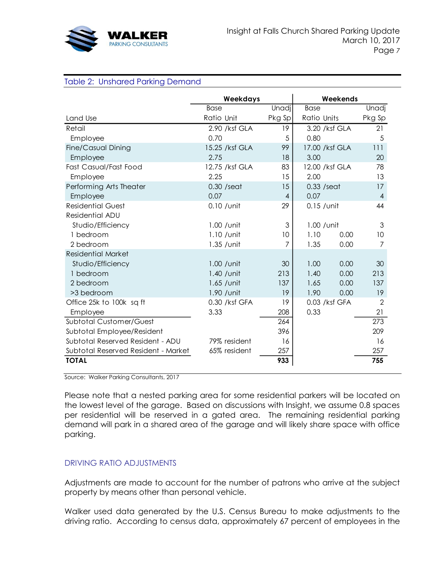

#### <span id="page-6-0"></span>Table 2: Unshared Parking Demand

|                                                                                                                                                                                                                                                                                                                                                                                 | Weekdays       | Weekends       |                |      |                |  |  |  |
|---------------------------------------------------------------------------------------------------------------------------------------------------------------------------------------------------------------------------------------------------------------------------------------------------------------------------------------------------------------------------------|----------------|----------------|----------------|------|----------------|--|--|--|
|                                                                                                                                                                                                                                                                                                                                                                                 | <b>Base</b>    | Unadj          | <b>Base</b>    |      | Unadj          |  |  |  |
| Land Use                                                                                                                                                                                                                                                                                                                                                                        | Ratio Unit     | Pkg Sp         | Ratio Units    |      | Pkg Sp         |  |  |  |
| Retail                                                                                                                                                                                                                                                                                                                                                                          | 2.90 /ksf GLA  | 19             | 3.20 /ksf GLA  |      | 21             |  |  |  |
| Employee                                                                                                                                                                                                                                                                                                                                                                        | 0.70           | 5              | 0.80           |      | 5              |  |  |  |
| Fine/Casual Dining                                                                                                                                                                                                                                                                                                                                                              | 15.25 /ksf GLA | 99             | 17.00 /ksf GLA |      | 111            |  |  |  |
| Employee                                                                                                                                                                                                                                                                                                                                                                        | 2.75           | 18             | 3.00           |      | 20             |  |  |  |
| Fast Casual/Fast Food                                                                                                                                                                                                                                                                                                                                                           | 12.75 /ksf GLA | 83             | 12.00 /ksf GLA |      | 78             |  |  |  |
| Employee                                                                                                                                                                                                                                                                                                                                                                        | 2.25           | 15             | 2.00           |      | 13             |  |  |  |
| Performing Arts Theater                                                                                                                                                                                                                                                                                                                                                         | $0.30$ /seat   | 15             | $0.33$ /seat   |      | 17             |  |  |  |
| Employee                                                                                                                                                                                                                                                                                                                                                                        | 0.07           | 4              | 0.07           |      | $\overline{4}$ |  |  |  |
| <b>Residential Guest</b>                                                                                                                                                                                                                                                                                                                                                        | $0.10$ / unit  | 29             | $0.15$ / unit  |      | 44             |  |  |  |
| Residential ADU                                                                                                                                                                                                                                                                                                                                                                 |                |                |                |      |                |  |  |  |
| Studio/Efficiency                                                                                                                                                                                                                                                                                                                                                               | $1.00$ / unit  | 3              | $1.00$ / unit  |      | 3              |  |  |  |
| 1 bedroom                                                                                                                                                                                                                                                                                                                                                                       | $1.10$ / unit  | 10             | 1.10           | 0.00 | 10             |  |  |  |
| 2 bedroom                                                                                                                                                                                                                                                                                                                                                                       | 1.35 / unit    | $\overline{7}$ | 1.35           | 0.00 | $\overline{7}$ |  |  |  |
| <b>Residential Market</b>                                                                                                                                                                                                                                                                                                                                                       |                |                |                |      |                |  |  |  |
| Studio/Efficiency                                                                                                                                                                                                                                                                                                                                                               | 1.00 / unit    | 30             | 1.00           | 0.00 | 30             |  |  |  |
| 1 bedroom                                                                                                                                                                                                                                                                                                                                                                       | 1.40 / unit    | 213            | 1.40           | 0.00 | 213            |  |  |  |
| 2 bedroom                                                                                                                                                                                                                                                                                                                                                                       | $1.65$ / unit  | 137            | 1.65           | 0.00 | 137            |  |  |  |
| >3 bedroom                                                                                                                                                                                                                                                                                                                                                                      | 1.90 / unit    | 19             | 1.90           | 0.00 | 19             |  |  |  |
| Office 25k to 100k sq ft                                                                                                                                                                                                                                                                                                                                                        | 0.30 /ksf GFA  | 19             | 0.03 /ksf GFA  |      | $\overline{2}$ |  |  |  |
| Employee                                                                                                                                                                                                                                                                                                                                                                        | 3.33           | 208            | 0.33           |      | 21             |  |  |  |
| <b>Subtotal Customer/Guest</b>                                                                                                                                                                                                                                                                                                                                                  |                | 264            |                |      | 273            |  |  |  |
| Subtotal Employee/Resident                                                                                                                                                                                                                                                                                                                                                      |                | 396            |                |      | 209            |  |  |  |
| Subtotal Reserved Resident - ADU                                                                                                                                                                                                                                                                                                                                                | 79% resident   | 16             |                |      | 16             |  |  |  |
| Subtotal Reserved Resident - Market                                                                                                                                                                                                                                                                                                                                             | 65% resident   | 257            |                |      | 257            |  |  |  |
| <b>TOTAL</b>                                                                                                                                                                                                                                                                                                                                                                    |                | 933            |                |      | 755            |  |  |  |
|                                                                                                                                                                                                                                                                                                                                                                                 |                |                |                |      |                |  |  |  |
| Source: Walker Parking Consultants, 2017                                                                                                                                                                                                                                                                                                                                        |                |                |                |      |                |  |  |  |
| Please note that a nested parking area for some residential parkers will be located on<br>the lowest level of the garage. Based on discussions with Insight, we assume 0.8 spaces<br>per residential will be reserved in a gated area. The remaining residential parking<br>demand will park in a shared area of the garage and will likely share space with office<br>parking. |                |                |                |      |                |  |  |  |
| <b>DRIVING RATIO ADJUSTMENTS</b>                                                                                                                                                                                                                                                                                                                                                |                |                |                |      |                |  |  |  |
| Adjustments are made to account for the number of patrons who arrive at the subject<br>property by means other than personal vehicle.                                                                                                                                                                                                                                           |                |                |                |      |                |  |  |  |
| Walker used data generated by the U.S. Census Bureau to make adjustments to the<br>driving ratio. According to census data, approximately 67 percent of employees in the                                                                                                                                                                                                        |                |                |                |      |                |  |  |  |

## DRIVING RATIO ADJUSTMENTS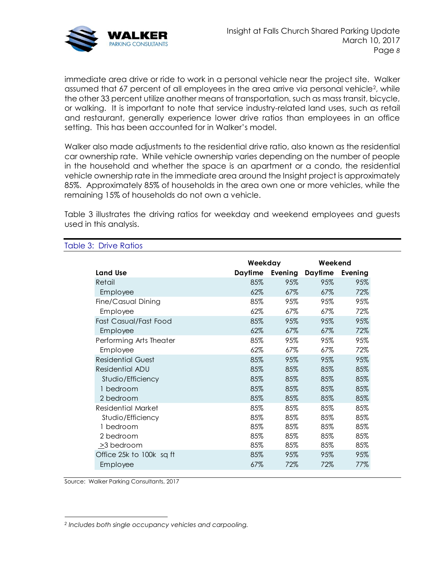

immediate area drive or ride to work in a personal vehicle near the project site. Walker assumed that 67 percent of all employees in the area arrive via personal vehicle<sup>2</sup>, while the other 33 percent utilize another means of transportation, such as mass transit, bicycle, or walking. It is important to note that service industry-related land uses, such as retail and restaurant, generally experience lower drive ratios than employees in an office setting. This has been accounted for in Walker's model.

Walker also made adjustments to the residential drive ratio, also known as the residential car ownership rate. While vehicle ownership varies depending on the number of people in the household and whether the space is an apartment or a condo, the residential vehicle ownership rate in the immediate area around the Insight project is approximately 85%. Approximately 85% of households in the area own one or more vehicles, while the remaining 15% of households do not own a vehicle.

[Table 3](#page-7-0) illustrates the driving ratios for weekday and weekend employees and guests used in this analysis.

|                           | Weekday |                 | Weekend |         |  |
|---------------------------|---------|-----------------|---------|---------|--|
| Land Use                  |         | Daytime Evening | Daytime | Evening |  |
| Retail                    | 85%     | 95%             | 95%     | 95%     |  |
| Employee                  | 62%     | 67%             | 67%     | 72%     |  |
| Fine/Casual Dining        | 85%     | 95%             | 95%     | 95%     |  |
| Employee                  | 62%     | 67%             | 67%     | 72%     |  |
| Fast Casual/Fast Food     | 85%     | 95%             | 95%     | 95%     |  |
| Employee                  | 62%     | 67%             | $67\%$  | 72%     |  |
| Performing Arts Theater   | 85%     | 95%             | 95%     | 95%     |  |
| Employee                  | 62%     | 67%             | 67%     | 72%     |  |
| <b>Residential Guest</b>  | 85%     | 95%             | 95%     | 95%     |  |
| Residential ADU           | 85%     | 85%             | 85%     | 85%     |  |
| Studio/Efficiency         | 85%     | 85%             | 85%     | 85%     |  |
| 1 bedroom                 | 85%     | 85%             | 85%     | 85%     |  |
| 2 bedroom                 | 85%     | 85%             | 85%     | 85%     |  |
| <b>Residential Market</b> | 85%     | 85%             | 85%     | 85%     |  |
| Studio/Efficiency         | 85%     | 85%             | 85%     | 85%     |  |
| 1 bedroom                 | 85%     | 85%             | 85%     | 85%     |  |
| 2 bedroom                 | 85%     | 85%             | 85%     | 85%     |  |
| >3 bedroom                | 85%     | 85%             | 85%     | 85%     |  |
| Office 25k to 100k sq ft  | 85%     | 95%             | 95%     | 95%     |  |
| Employee                  | $67\%$  | 72%             | 72%     | 77%     |  |
|                           |         |                 |         |         |  |

#### <span id="page-7-0"></span>Table 3: Drive Ratios

Source: Walker Parking Consultants, 2017

*<sup>2</sup> Includes both single occupancy vehicles and carpooling.*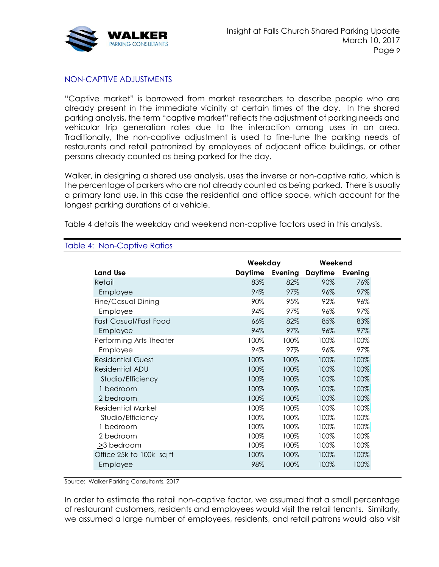

# NON-CAPTIVE ADJUSTMENTS

"Captive market" is borrowed from market researchers to describe people who are already present in the immediate vicinity at certain times of the day. In the shared parking analysis, the term "captive market" reflects the adjustment of parking needs and vehicular trip generation rates due to the interaction among uses in an area. Traditionally, the non-captive adjustment is used to fine-tune the parking needs of restaurants and retail patronized by employees of adjacent office buildings, or other persons already counted as being parked for the day.

Walker, in designing a shared use analysis, uses the inverse or non-captive ratio, which is the percentage of parkers who are not already counted as being parked. There is usually a primary land use, in this case the residential and office space, which account for the longest parking durations of a vehicle.

[Table 4](#page-8-0) details the weekday and weekend non-captive factors used in this analysis.

| <b>Land Use</b>                                                                        | Weekday | Daytime Evening | Weekend<br><b>Daytime</b> | Evening                                                                                     |
|----------------------------------------------------------------------------------------|---------|-----------------|---------------------------|---------------------------------------------------------------------------------------------|
| Retail                                                                                 | 83%     | 82%             | 90%                       | 76%                                                                                         |
| Employee                                                                               | 94%     | 97%             | 96%                       | 97%                                                                                         |
| Fine/Casual Dining                                                                     | 90%     | 95%             | 92%                       | 96%                                                                                         |
| Employee                                                                               | 94%     | 97%             | 96%                       | 97%                                                                                         |
| Fast Casual/Fast Food                                                                  | 66%     | 82%             | 85%                       | 83%                                                                                         |
| Employee                                                                               | 94%     | 97%             | 96%                       | 97%                                                                                         |
| Performing Arts Theater                                                                | 100%    | 100%            | 100%                      | 100%                                                                                        |
| Employee                                                                               | 94%     | 97%             | 96%                       | 97%                                                                                         |
| <b>Residential Guest</b>                                                               | 100%    | 100%            | 100%                      | 100%                                                                                        |
| <b>Residential ADU</b>                                                                 | 100%    | 100%            | 100%                      | 100%                                                                                        |
| Studio/Efficiency                                                                      | 100%    | 100%            | 100%                      | 100%                                                                                        |
| 1 bedroom                                                                              | 100%    | 100%            | 100%                      | 100%                                                                                        |
| 2 bedroom                                                                              | 100%    | 100%            | 100%                      | 100%                                                                                        |
| <b>Residential Market</b>                                                              | 100%    | 100%            | 100%                      | 100%                                                                                        |
| Studio/Efficiency                                                                      | 100%    | 100%            | 100%                      | 100%                                                                                        |
| 1 bedroom                                                                              | 100%    | 100%            | 100%                      | 100%                                                                                        |
| 2 bedroom                                                                              | 100%    | 100%            | 100%                      | 100%                                                                                        |
| $\geq$ 3 bedroom                                                                       | 100%    | 100%            | 100%                      | 100%                                                                                        |
| Office 25k to 100k sq ft                                                               | 100%    | 100%            | 100%                      | 100%                                                                                        |
| Employee                                                                               | 98%     | 100%            | 100%                      | 100%                                                                                        |
| Source: Walker Parking Consultants, 2017                                               |         |                 |                           |                                                                                             |
|                                                                                        |         |                 |                           |                                                                                             |
| In order to estimate the retail non-captive factor, we assumed that a small percentage |         |                 |                           | of restaurant customers, residents and employees would visit the retail tenants. Similarly, |

#### <span id="page-8-0"></span>Table 4: Non-Captive Ratios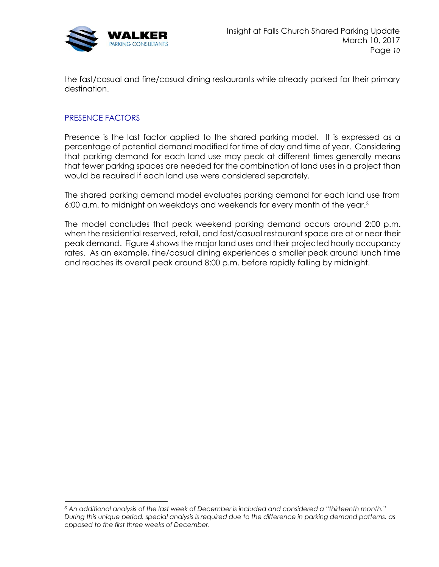

the fast/casual and fine/casual dining restaurants while already parked for their primary destination.

# PRESENCE FACTORS

Presence is the last factor applied to the shared parking model. It is expressed as a percentage of potential demand modified for time of day and time of year. Considering that parking demand for each land use may peak at different times generally means that fewer parking spaces are needed for the combination of land uses in a project than would be required if each land use were considered separately.

The shared parking demand model evaluates parking demand for each land use from 6:00 a.m. to midnight on weekdays and weekends for every month of the year.<sup>3</sup>

The model concludes that peak weekend parking demand occurs around 2:00 p.m. when the residential reserved, retail, and fast/casual restaurant space are at or near their peak demand. [Figure 4](#page-10-0) shows the major land uses and their projected hourly occupancy rates. As an example, fine/casual dining experiences a smaller peak around lunch time and reaches its overall peak around 8:00 p.m. before rapidly falling by midnight.

*<sup>3</sup> An additional analysis of the last week of December is included and considered a "thirteenth month." During this unique period, special analysis is required due to the difference in parking demand patterns, as opposed to the first three weeks of December.*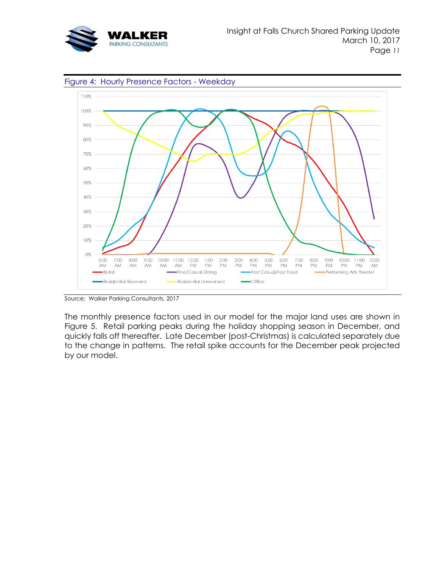

<span id="page-10-0"></span>

Source: Walker Parking Consultants, 2017

The monthly presence factors used in our model for the major land uses are shown in [Figure 5.](#page-11-0) Retail parking peaks during the holiday shopping season in December, and quickly falls off thereafter. Late December (post-Christmas) is calculated separately due to the change in patterns. The retail spike accounts for the December peak projected by our model.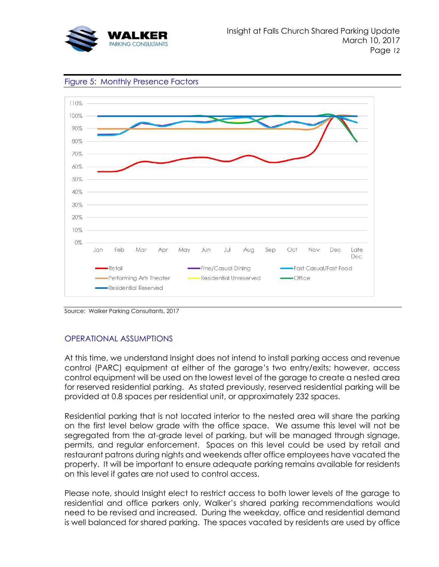



<span id="page-11-0"></span>Figure 5: Monthly Presence Factors

Source: Walker Parking Consultants, 2017

# OPERATIONAL ASSUMPTIONS

At this time, we understand Insight does not intend to install parking access and revenue control (PARC) equipment at either of the garage's two entry/exits; however, access control equipment will be used on the lowest level of the garage to create a nested area for reserved residential parking. As stated previously, reserved residential parking will be provided at 0.8 spaces per residential unit, or approximately 232 spaces.

Residential parking that is not located interior to the nested area will share the parking on the first level below grade with the office space. We assume this level will not be segregated from the at-grade level of parking, but will be managed through signage, permits, and regular enforcement. Spaces on this level could be used by retail and restaurant patrons during nights and weekends after office employees have vacated the property. It will be important to ensure adequate parking remains available for residents on this level if gates are not used to control access.

Please note, should Insight elect to restrict access to both lower levels of the garage to residential and office parkers only, Walker's shared parking recommendations would need to be revised and increased. During the weekday, office and residential demand is well balanced for shared parking. The spaces vacated by residents are used by office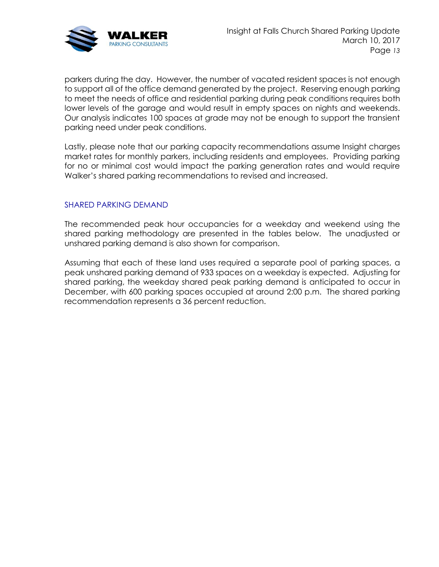

parkers during the day. However, the number of vacated resident spaces is not enough to support all of the office demand generated by the project. Reserving enough parking to meet the needs of office and residential parking during peak conditions requires both lower levels of the garage and would result in empty spaces on nights and weekends. Our analysis indicates 100 spaces at grade may not be enough to support the transient parking need under peak conditions.

Lastly, please note that our parking capacity recommendations assume Insight charges market rates for monthly parkers, including residents and employees. Providing parking for no or minimal cost would impact the parking generation rates and would require Walker's shared parking recommendations to revised and increased.

# SHARED PARKING DEMAND

The recommended peak hour occupancies for a weekday and weekend using the shared parking methodology are presented in the tables below. The unadjusted or unshared parking demand is also shown for comparison.

Assuming that each of these land uses required a separate pool of parking spaces, a peak unshared parking demand of 933 spaces on a weekday is expected. Adjusting for shared parking, the weekday shared peak parking demand is anticipated to occur in December, with 600 parking spaces occupied at around 2:00 p.m. The shared parking recommendation represents a 36 percent reduction.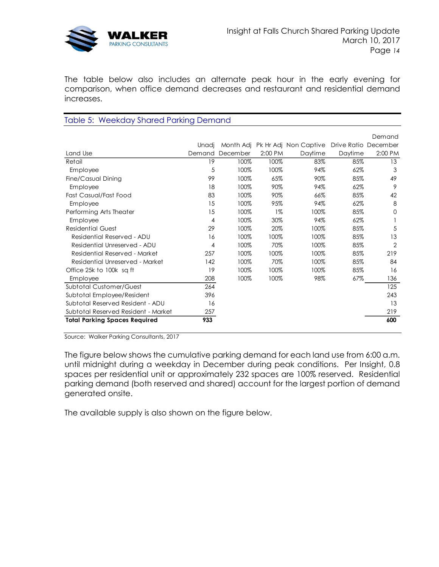

The table below also includes an alternate peak hour in the early evening for comparison, when office demand decreases and restaurant and residential demand increases.

# Table 5: Weekday Shared Parking Demand

|                                      |        |          |         |                                 |                      | Demand         |
|--------------------------------------|--------|----------|---------|---------------------------------|----------------------|----------------|
|                                      | Unadi  |          |         | Month Adj Pk Hr Adj Non Captive | Drive Ratio December |                |
| Land Use                             | Demand | December | 2:00 PM | Daytime                         | Daytime              | 2:00 PM        |
| Retail                               | 19     | 100%     | 100%    | 83%                             | 85%                  | 13             |
| Employee                             | 5      | 100%     | 100%    | 94%                             | 62%                  | 3              |
| Fine/Casual Dining                   | 99     | 100%     | 65%     | 90%                             | 85%                  | 49             |
| Employee                             | 18     | 100%     | 90%     | 94%                             | 62%                  | 9              |
| Fast Casual/Fast Food                | 83     | 100%     | 90%     | 66%                             | 85%                  | 42             |
| Employee                             | 15     | 100%     | 95%     | 94%                             | 62%                  | 8              |
| Performing Arts Theater              | 15     | 100%     | $1\%$   | 100%                            | 85%                  | $\Omega$       |
| Employee                             | 4      | 100%     | 30%     | 94%                             | 62%                  |                |
| <b>Residential Guest</b>             | 29     | 100%     | 20%     | 100%                            | 85%                  | 5              |
| Residential Reserved - ADU           | 16     | 100%     | 100%    | 100%                            | 85%                  | 13             |
| Residential Unreserved - ADU         | 4      | 100%     | 70%     | 100%                            | 85%                  | $\overline{2}$ |
| Residential Reserved - Market        | 257    | 100%     | 100%    | 100%                            | 85%                  | 219            |
| Residential Unreserved - Market      | 142    | 100%     | 70%     | 100%                            | 85%                  | 84             |
| Office 25k to 100k sq ft             | 19     | 100%     | 100%    | 100%                            | 85%                  | 16             |
| Employee                             | 208    | 100%     | 100%    | 98%                             | 67%                  | 136            |
| <b>Subtotal Customer/Guest</b>       | 264    |          |         |                                 |                      | 125            |
| Subtotal Employee/Resident           | 396    |          |         |                                 |                      | 243            |
| Subtotal Reserved Resident - ADU     | 16     |          |         |                                 |                      | 13             |
| Subtotal Reserved Resident - Market  | 257    |          |         |                                 |                      | 219            |
| <b>Total Parking Spaces Required</b> | 933    |          |         |                                 |                      | 600            |

Source: Walker Parking Consultants, 2017

The figure below shows the cumulative parking demand for each land use from 6:00 a.m. until midnight during a weekday in December during peak conditions. Per Insight, 0.8 spaces per residential unit or approximately 232 spaces are 100% reserved. Residential parking demand (both reserved and shared) account for the largest portion of demand generated onsite.

The available supply is also shown on the figure below.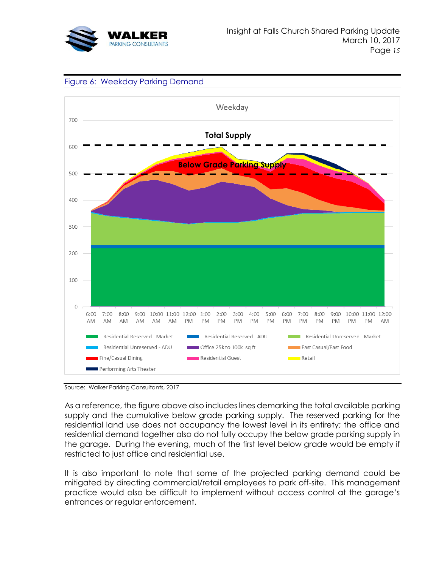





Source: Walker Parking Consultants, 2017

As a reference, the figure above also includes lines demarking the total available parking supply and the cumulative below grade parking supply. The reserved parking for the residential land use does not occupancy the lowest level in its entirety; the office and residential demand together also do not fully occupy the below grade parking supply in the garage. During the evening, much of the first level below grade would be empty if restricted to just office and residential use.

It is also important to note that some of the projected parking demand could be mitigated by directing commercial/retail employees to park off-site. This management practice would also be difficult to implement without access control at the garage's entrances or regular enforcement.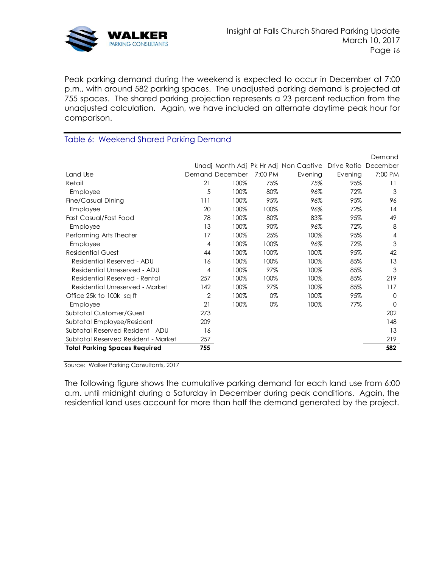

Peak parking demand during the weekend is expected to occur in December at 7:00 p.m., with around 582 parking spaces. The unadjusted parking demand is projected at 755 spaces. The shared parking projection represents a 23 percent reduction from the unadjusted calculation. Again, we have included an alternate daytime peak hour for comparison.

| Table 6: Weekend Shared Parking Demand |     |                 |         |                                       |                      |         |  |
|----------------------------------------|-----|-----------------|---------|---------------------------------------|----------------------|---------|--|
|                                        |     |                 |         |                                       |                      |         |  |
|                                        |     |                 |         |                                       |                      | Demand  |  |
|                                        |     |                 |         | Unadj Month Adj Pk Hr Adj Non Captive | Drive Ratio December |         |  |
| Land Use                               |     | Demand December | 7:00 PM | Evening                               | Evening              | 7:00 PM |  |
| Retail                                 | 21  | 100%            | 75%     | 75%                                   | 95%                  | 11      |  |
| Employee                               | 5   | 100%            | 80%     | 96%                                   | 72%                  | 3       |  |
| Fine/Casual Dining                     | 111 | 100%            | 95%     | 96%                                   | 95%                  | 96      |  |
| Employee                               | 20  | 100%            | 100%    | 96%                                   | 72%                  | 14      |  |
| Fast Casual/Fast Food                  | 78  | 100%            | 80%     | 83%                                   | 95%                  | 49      |  |
| Employee                               | 13  | 100%            | 90%     | 96%                                   | 72%                  | 8       |  |
| Performing Arts Theater                | 17  | 100%            | 25%     | 100%                                  | 95%                  | 4       |  |
| Employee                               | 4   | 100%            | 100%    | 96%                                   | 72%                  | 3       |  |
| <b>Residential Guest</b>               | 44  | 100%            | 100%    | 100%                                  | 95%                  | 42      |  |
| Residential Reserved - ADU             | 16  | 100%            | 100%    | 100%                                  | 85%                  | 13      |  |
| Residential Unreserved - ADU           | 4   | 100%            | 97%     | 100%                                  | 85%                  | 3       |  |
| Residential Reserved - Rental          | 257 | 100%            | 100%    | 100%                                  | 85%                  | 219     |  |
| Residential Unreserved - Market        | 142 | 100%            | 97%     | 100%                                  | 85%                  | 117     |  |
| Office 25k to 100k sq ft               | 2   | 100%            | 0%      | 100%                                  | 95%                  | 0       |  |
| Employee                               | 21  | 100%            | 0%      | 100%                                  | 77%                  | 0       |  |
| <b>Subtotal Customer/Guest</b>         | 273 |                 |         |                                       |                      | 202     |  |
| Subtotal Employee/Resident             | 209 |                 |         |                                       |                      | 148     |  |
| Subtotal Reserved Resident - ADU       | 16  |                 |         |                                       |                      | 13      |  |
| Subtotal Reserved Resident - Market    | 257 |                 |         |                                       |                      | 219     |  |
| <b>Total Parking Spaces Required</b>   | 755 |                 |         |                                       |                      | 582     |  |
|                                        |     |                 |         |                                       |                      |         |  |

Source: Walker Parking Consultants, 2017

The following figure shows the cumulative parking demand for each land use from 6:00 a.m. until midnight during a Saturday in December during peak conditions. Again, the residential land uses account for more than half the demand generated by the project.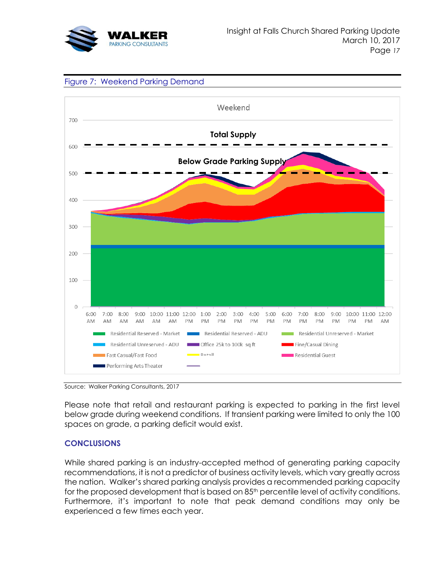





Source: Walker Parking Consultants, 2017

Please note that retail and restaurant parking is expected to parking in the first level below grade during weekend conditions. If transient parking were limited to only the 100 spaces on grade, a parking deficit would exist.

## **CONCLUSIONS**

While shared parking is an industry-accepted method of generating parking capacity recommendations, it is not a predictor of business activity levels, which vary greatly across the nation. Walker's shared parking analysis provides a recommended parking capacity for the proposed development that is based on 85<sup>th</sup> percentile level of activity conditions. Furthermore, it's important to note that peak demand conditions may only be experienced a few times each year.